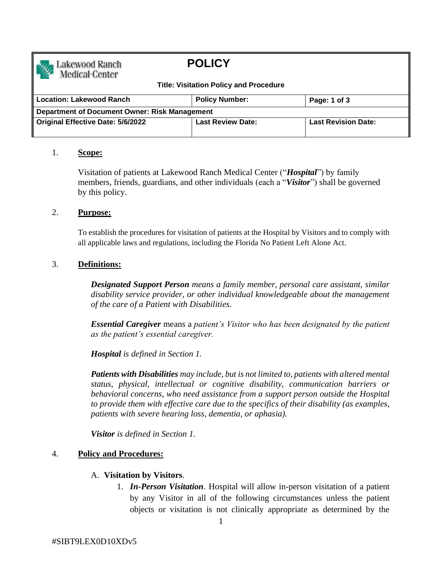

# **POLICY**

#### **Title: Visitation Policy and Procedure**

| <b>Location: Lakewood Ranch</b>               | <b>Policy Number:</b>    | Page: 1 of 3               |
|-----------------------------------------------|--------------------------|----------------------------|
| Department of Document Owner: Risk Management |                          |                            |
| <b>Original Effective Date: 5/6/2022</b>      | <b>Last Review Date:</b> | <b>Last Revision Date:</b> |

## 1. **Scope:**

Visitation of patients at Lakewood Ranch Medical Center ("*Hospital*") by family members, friends, guardians, and other individuals (each a "*Visitor*") shall be governed by this policy.

#### 2. **Purpose:**

To establish the procedures for visitation of patients at the Hospital by Visitors and to comply with all applicable laws and regulations, including the Florida No Patient Left Alone Act.

## 3. **Definitions:**

*Designated Support Person means a family member, personal care assistant, similar disability service provider, or other individual knowledgeable about the management of the care of a Patient with Disabilities.*

*Essential Caregiver* means a *patient's Visitor who has been designated by the patient as the patient's essential caregiver.*

*Hospital is defined in Section 1.* 

*Patients with Disabilities may include, but is not limited to, patients with altered mental status, physical, intellectual or cognitive disability, communication barriers or behavioral concerns, who need assistance from a support person outside the Hospital to provide them with effective care due to the specifics of their disability (as examples, patients with severe hearing loss, dementia, or aphasia).*

*Visitor is defined in Section 1.* 

## 4. **Policy and Procedures:**

#### A. **Visitation by Visitors**.

1. *In-Person Visitation*. Hospital will allow in-person visitation of a patient by any Visitor in all of the following circumstances unless the patient objects or visitation is not clinically appropriate as determined by the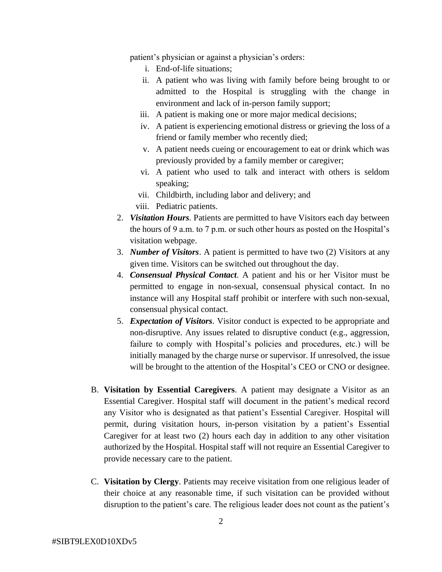patient's physician or against a physician's orders:

- i. End-of-life situations;
- ii. A patient who was living with family before being brought to or admitted to the Hospital is struggling with the change in environment and lack of in-person family support;
- iii. A patient is making one or more major medical decisions;
- iv. A patient is experiencing emotional distress or grieving the loss of a friend or family member who recently died;
- v. A patient needs cueing or encouragement to eat or drink which was previously provided by a family member or caregiver;
- vi. A patient who used to talk and interact with others is seldom speaking;
- vii. Childbirth, including labor and delivery; and
- viii. Pediatric patients.
- 2. *Visitation Hours.* Patients are permitted to have Visitors each day between the hours of 9 a.m. to 7 p.m. or such other hours as posted on the Hospital's visitation webpage.
- 3. *Number of Visitors*. A patient is permitted to have two (2) Visitors at any given time. Visitors can be switched out throughout the day.
- 4. *Consensual Physical Contact*. A patient and his or her Visitor must be permitted to engage in non-sexual, consensual physical contact. In no instance will any Hospital staff prohibit or interfere with such non-sexual, consensual physical contact.
- 5. *Expectation of Visitors.* Visitor conduct is expected to be appropriate and non-disruptive. Any issues related to disruptive conduct (e.g., aggression, failure to comply with Hospital's policies and procedures, etc.) will be initially managed by the charge nurse or supervisor. If unresolved, the issue will be brought to the attention of the Hospital's CEO or CNO or designee.
- B. **Visitation by Essential Caregivers**. A patient may designate a Visitor as an Essential Caregiver. Hospital staff will document in the patient's medical record any Visitor who is designated as that patient's Essential Caregiver. Hospital will permit, during visitation hours, in-person visitation by a patient's Essential Caregiver for at least two (2) hours each day in addition to any other visitation authorized by the Hospital. Hospital staff will not require an Essential Caregiver to provide necessary care to the patient.
- C. **Visitation by Clergy**. Patients may receive visitation from one religious leader of their choice at any reasonable time, if such visitation can be provided without disruption to the patient's care. The religious leader does not count as the patient's